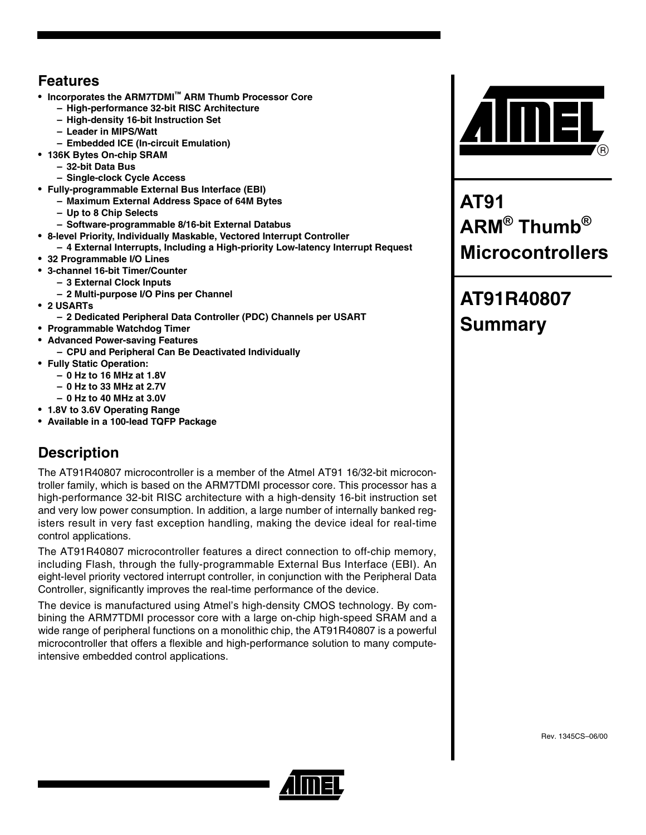## **Features**

- **Incorporates the ARM7TDMI™ ARM Thumb Processor Core**
	- **High-performance 32-bit RISC Architecture**
	- **High-density 16-bit Instruction Set**
	- **Leader in MIPS/Watt**
	- **Embedded ICE (In-circuit Emulation)**
- **136K Bytes On-chip SRAM**
	- **32-bit Data Bus**
	- **Single-clock Cycle Access**
- **Fully-programmable External Bus Interface (EBI)**
	- **Maximum External Address Space of 64M Bytes**
		- **Up to 8 Chip Selects**
	- **Software-programmable 8/16-bit External Databus**
- **8-level Priority, Individually Maskable, Vectored Interrupt Controller**
	- **4 External Interrupts, Including a High-priority Low-latency Interrupt Request**
- **32 Programmable I/O Lines**
- **3-channel 16-bit Timer/Counter** 
	- **3 External Clock Inputs**
	- **2 Multi-purpose I/O Pins per Channel**
- **2 USARTs**
	- **2 Dedicated Peripheral Data Controller (PDC) Channels per USART**
- **Programmable Watchdog Timer**
- **Advanced Power-saving Features**
- **CPU and Peripheral Can Be Deactivated Individually**
- **Fully Static Operation:** 
	- **0 Hz to 16 MHz at 1.8V**
	- **0 Hz to 33 MHz at 2.7V**
	- **0 Hz to 40 MHz at 3.0V**
- **1.8V to 3.6V Operating Range**
- **Available in a 100-lead TQFP Package**

## **Description**

The AT91R40807 microcontroller is a member of the Atmel AT91 16/32-bit microcontroller family, which is based on the ARM7TDMI processor core. This processor has a high-performance 32-bit RISC architecture with a high-density 16-bit instruction set and very low power consumption. In addition, a large number of internally banked registers result in very fast exception handling, making the device ideal for real-time control applications.

The AT91R40807 microcontroller features a direct connection to off-chip memory, including Flash, through the fully-programmable External Bus Interface (EBI). An eight-level priority vectored interrupt controller, in conjunction with the Peripheral Data Controller, significantly improves the real-time performance of the device.

The device is manufactured using Atmel's high-density CMOS technology. By combining the ARM7TDMI processor core with a large on-chip high-speed SRAM and a wide range of peripheral functions on a monolithic chip, the AT91R40807 is a powerful microcontroller that offers a flexible and high-performance solution to many computeintensive embedded control applications.



**AT91 ARM® Thumb® Microcontrollers**

## **AT91R40807 Summary**



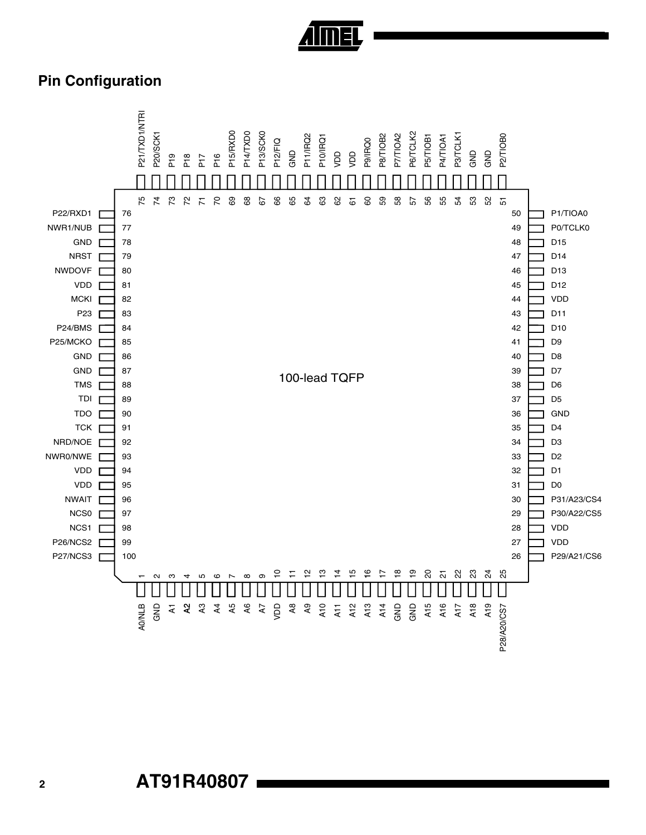

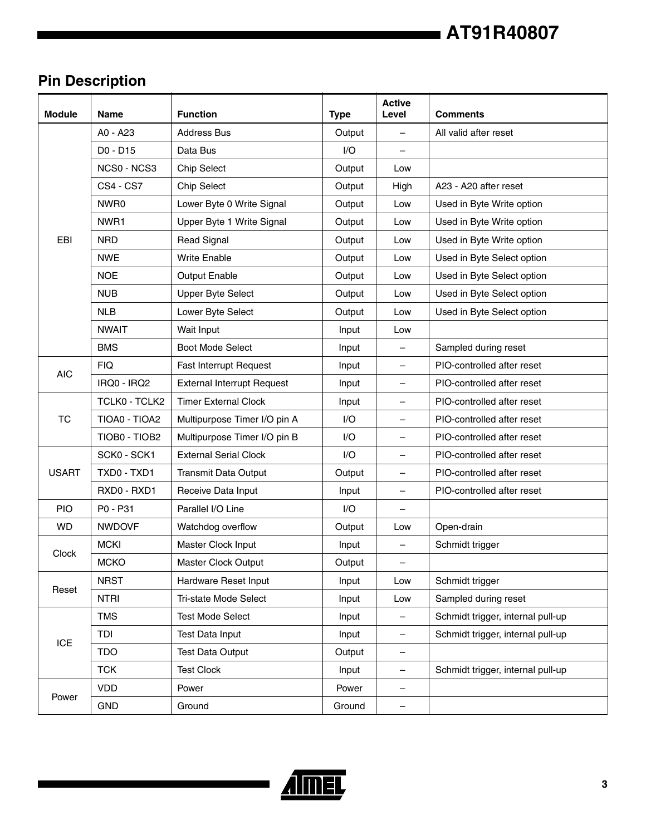## **AT91R40807**

## **Pin Description**

| <b>Module</b> | <b>Name</b>      | <b>Function</b>                   | <b>Type</b> | <b>Active</b><br>Level   | <b>Comments</b>                   |
|---------------|------------------|-----------------------------------|-------------|--------------------------|-----------------------------------|
|               | A0 - A23         | <b>Address Bus</b>                | Output      | $\overline{\phantom{0}}$ | All valid after reset             |
|               | D0 - D15         | Data Bus                          | 1/O         |                          |                                   |
|               | NCS0 - NCS3      | <b>Chip Select</b>                | Output      | Low                      |                                   |
|               | <b>CS4 - CS7</b> | <b>Chip Select</b>                | Output      | High                     | A23 - A20 after reset             |
|               | NWR0             | Lower Byte 0 Write Signal         | Output      | Low                      | Used in Byte Write option         |
|               | NWR1             | Upper Byte 1 Write Signal         | Output      | Low                      | Used in Byte Write option         |
| EBI           | <b>NRD</b>       | <b>Read Signal</b>                | Output      | Low                      | Used in Byte Write option         |
|               | <b>NWE</b>       | <b>Write Enable</b>               | Output      | Low                      | Used in Byte Select option        |
|               | <b>NOE</b>       | Output Enable                     | Output      | Low                      | Used in Byte Select option        |
|               | <b>NUB</b>       | <b>Upper Byte Select</b>          | Output      | Low                      | Used in Byte Select option        |
|               | <b>NLB</b>       | Lower Byte Select                 | Output      | Low                      | Used in Byte Select option        |
|               | <b>NWAIT</b>     | Wait Input                        | Input       | Low                      |                                   |
|               | <b>BMS</b>       | <b>Boot Mode Select</b>           | Input       | $\overline{\phantom{m}}$ | Sampled during reset              |
|               | <b>FIQ</b>       | <b>Fast Interrupt Request</b>     | Input       | —                        | PIO-controlled after reset        |
| <b>AIC</b>    | IRQ0 - IRQ2      | <b>External Interrupt Request</b> | Input       |                          | PIO-controlled after reset        |
|               | TCLK0 - TCLK2    | <b>Timer External Clock</b>       | Input       | —                        | PIO-controlled after reset        |
| <b>TC</b>     | TIOA0 - TIOA2    | Multipurpose Timer I/O pin A      | I/O         |                          | PIO-controlled after reset        |
|               | TIOB0 - TIOB2    | Multipurpose Timer I/O pin B      | I/O         | $\overline{\phantom{0}}$ | PIO-controlled after reset        |
|               | SCK0 - SCK1      | <b>External Serial Clock</b>      | I/O         | $\overline{\phantom{0}}$ | PIO-controlled after reset        |
| <b>USART</b>  | TXD0 - TXD1      | <b>Transmit Data Output</b>       | Output      | —                        | PIO-controlled after reset        |
|               | RXD0 - RXD1      | Receive Data Input                | Input       | $\overline{\phantom{0}}$ | PIO-controlled after reset        |
| <b>PIO</b>    | P0 - P31         | Parallel I/O Line                 | I/O         |                          |                                   |
| <b>WD</b>     | <b>NWDOVF</b>    | Watchdog overflow                 | Output      | Low                      | Open-drain                        |
|               | <b>MCKI</b>      | Master Clock Input                | Input       |                          | Schmidt trigger                   |
| Clock         | <b>MCKO</b>      | Master Clock Output               | Output      | —                        |                                   |
|               | <b>NRST</b>      | Hardware Reset Input              | Input       | Low                      | Schmidt trigger                   |
| Reset         | <b>NTRI</b>      | Tri-state Mode Select             | Input       | Low                      | Sampled during reset              |
|               | <b>TMS</b>       | <b>Test Mode Select</b>           | Input       | -                        | Schmidt trigger, internal pull-up |
|               | TDI              | Test Data Input                   | Input       | -                        | Schmidt trigger, internal pull-up |
| ICE           | <b>TDO</b>       | <b>Test Data Output</b>           | Output      | $\overline{\phantom{0}}$ |                                   |
|               | <b>TCK</b>       | <b>Test Clock</b>                 | Input       | -                        | Schmidt trigger, internal pull-up |
|               | <b>VDD</b>       | Power                             | Power       | -                        |                                   |
| Power         | <b>GND</b>       | Ground                            | Ground      | $\qquad \qquad -$        |                                   |



 $\blacksquare$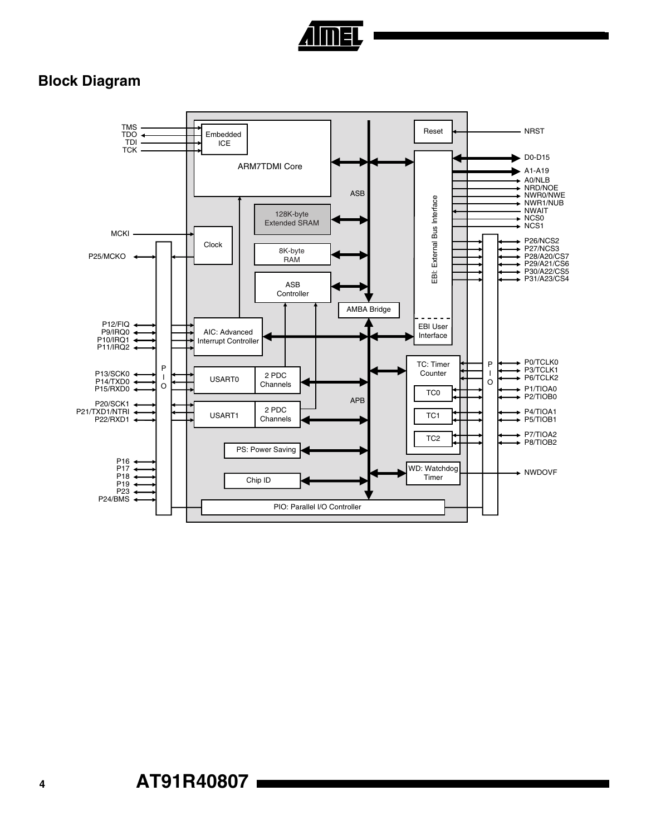

## **Block Diagram**

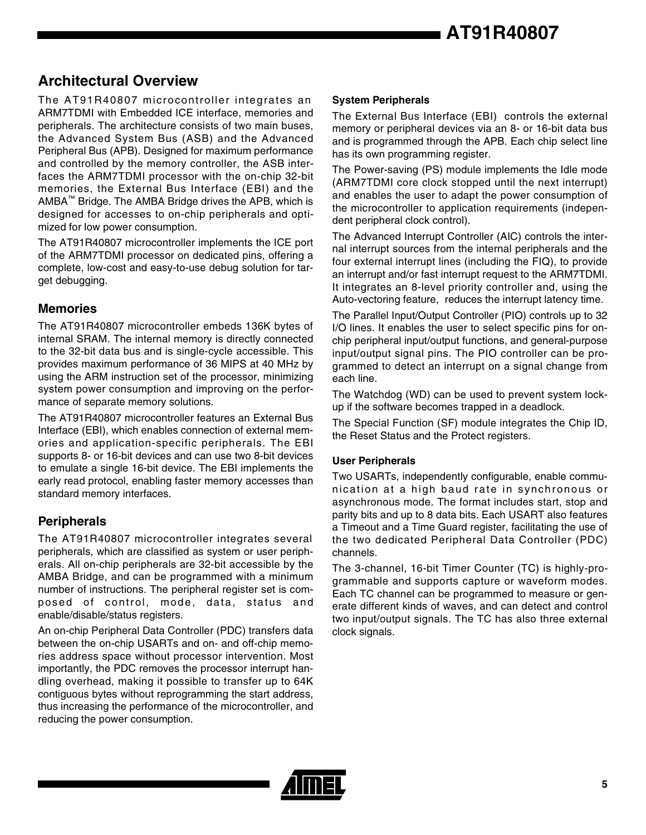## **Architectural Overview**

The AT91R40807 microcontroller integrates an ARM7TDMI with Embedded ICE interface, memories and peripherals. The architecture consists of two main buses, the Advanced System Bus (ASB) and the Advanced Peripheral Bus (APB). Designed for maximum performance and controlled by the memory controller, the ASB interfaces the ARM7TDMI processor with the on-chip 32-bit memories, the External Bus Interface (EBI) and the AMBA™ Bridge. The AMBA Bridge drives the APB, which is designed for accesses to on-chip peripherals and optimized for low power consumption.

The AT91R40807 microcontroller implements the ICE port of the ARM7TDMI processor on dedicated pins, offering a complete, low-cost and easy-to-use debug solution for target debugging.

#### **Memories**

The AT91R40807 microcontroller embeds 136K bytes of internal SRAM. The internal memory is directly connected to the 32-bit data bus and is single-cycle accessible. This provides maximum performance of 36 MIPS at 40 MHz by using the ARM instruction set of the processor, minimizing system power consumption and improving on the performance of separate memory solutions.

The AT91R40807 microcontroller features an External Bus Interface (EBI), which enables connection of external memories and application-specific peripherals. The EBI supports 8- or 16-bit devices and can use two 8-bit devices to emulate a single 16-bit device. The EBI implements the early read protocol, enabling faster memory accesses than standard memory interfaces.

#### **Peripherals**

The AT91R40807 microcontroller integrates several peripherals, which are classified as system or user peripherals. All on-chip peripherals are 32-bit accessible by the AMBA Bridge, and can be programmed with a minimum number of instructions. The peripheral register set is composed of control, mode, data, status and enable/disable/status registers.

An on-chip Peripheral Data Controller (PDC) transfers data between the on-chip USARTs and on- and off-chip memories address space without processor intervention. Most importantly, the PDC removes the processor interrupt handling overhead, making it possible to transfer up to 64K contiguous bytes without reprogramming the start address, thus increasing the performance of the microcontroller, and reducing the power consumption.

#### **System Peripherals**

The External Bus Interface (EBI) controls the external memory or peripheral devices via an 8- or 16-bit data bus and is programmed through the APB. Each chip select line has its own programming register.

The Power-saving (PS) module implements the Idle mode (ARM7TDMI core clock stopped until the next interrupt) and enables the user to adapt the power consumption of the microcontroller to application requirements (independent peripheral clock control).

The Advanced Interrupt Controller (AIC) controls the internal interrupt sources from the internal peripherals and the four external interrupt lines (including the FIQ), to provide an interrupt and/or fast interrupt request to the ARM7TDMI. It integrates an 8-level priority controller and, using the Auto-vectoring feature, reduces the interrupt latency time.

The Parallel Input/Output Controller (PIO) controls up to 32 I/O lines. It enables the user to select specific pins for onchip peripheral input/output functions, and general-purpose input/output signal pins. The PIO controller can be programmed to detect an interrupt on a signal change from each line.

The Watchdog (WD) can be used to prevent system lockup if the software becomes trapped in a deadlock.

The Special Function (SF) module integrates the Chip ID, the Reset Status and the Protect registers.

#### **User Peripherals**

Two USARTs, independently configurable, enable communication at a high baud rate in synchronous or asynchronous mode. The format includes start, stop and parity bits and up to 8 data bits. Each USART also features a Timeout and a Time Guard register, facilitating the use of the two dedicated Peripheral Data Controller (PDC) channels.

The 3-channel, 16-bit Timer Counter (TC) is highly-programmable and supports capture or waveform modes. Each TC channel can be programmed to measure or generate different kinds of waves, and can detect and control two input/output signals. The TC has also three external clock signals.

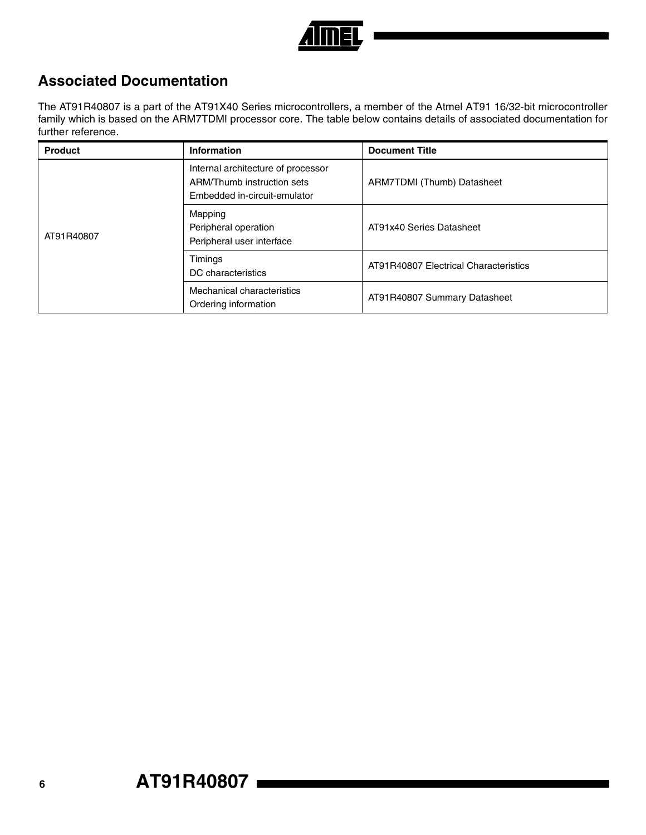

## **Associated Documentation**

The AT91R40807 is a part of the AT91X40 Series microcontrollers, a member of the Atmel AT91 16/32-bit microcontroller family which is based on the ARM7TDMI processor core. The table below contains details of associated documentation for further reference.

| <b>Product</b> | Information                                                                                      | <b>Document Title</b>                 |
|----------------|--------------------------------------------------------------------------------------------------|---------------------------------------|
|                | Internal architecture of processor<br>ARM/Thumb instruction sets<br>Embedded in-circuit-emulator | ARM7TDMI (Thumb) Datasheet            |
| AT91R40807     | Mapping<br>Peripheral operation<br>Peripheral user interface                                     | AT91x40 Series Datasheet              |
|                | Timings<br>DC characteristics                                                                    | AT91R40807 Electrical Characteristics |
|                | Mechanical characteristics<br>Ordering information                                               | AT91R40807 Summary Datasheet          |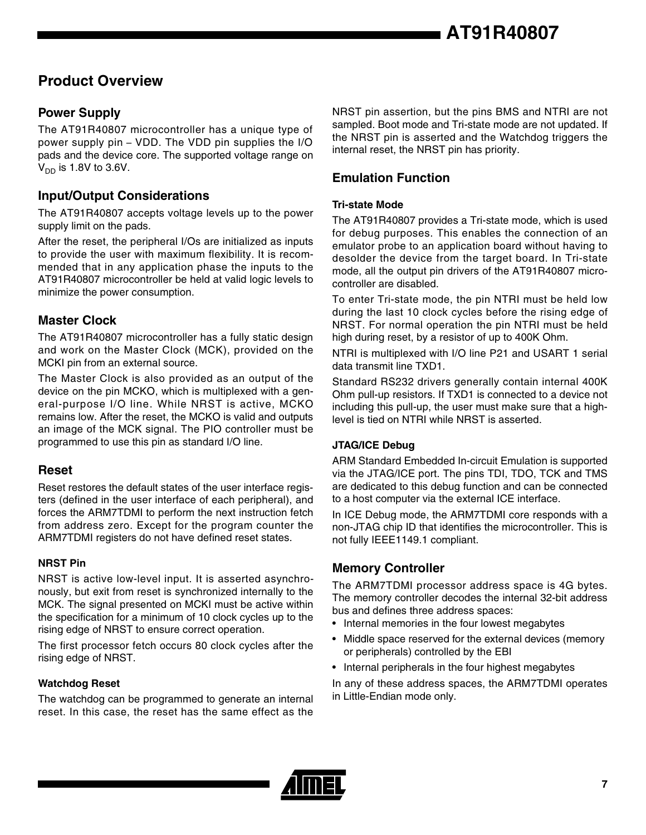## **Product Overview**

### **Power Supply**

The AT91R40807 microcontroller has a unique type of power supply pin – VDD. The VDD pin supplies the I/O pads and the device core. The supported voltage range on  $V_{DD}$  is 1.8V to 3.6V.

#### **Input/Output Considerations**

The AT91R40807 accepts voltage levels up to the power supply limit on the pads.

After the reset, the peripheral I/Os are initialized as inputs to provide the user with maximum flexibility. It is recommended that in any application phase the inputs to the AT91R40807 microcontroller be held at valid logic levels to minimize the power consumption.

#### **Master Clock**

The AT91R40807 microcontroller has a fully static design and work on the Master Clock (MCK), provided on the MCKI pin from an external source.

The Master Clock is also provided as an output of the device on the pin MCKO, which is multiplexed with a general-purpose I/O line. While NRST is active, MCKO remains low. After the reset, the MCKO is valid and outputs an image of the MCK signal. The PIO controller must be programmed to use this pin as standard I/O line.

#### **Reset**

Reset restores the default states of the user interface registers (defined in the user interface of each peripheral), and forces the ARM7TDMI to perform the next instruction fetch from address zero. Except for the program counter the ARM7TDMI registers do not have defined reset states.

#### **NRST Pin**

NRST is active low-level input. It is asserted asynchronously, but exit from reset is synchronized internally to the MCK. The signal presented on MCKI must be active within the specification for a minimum of 10 clock cycles up to the rising edge of NRST to ensure correct operation.

The first processor fetch occurs 80 clock cycles after the rising edge of NRST.

#### **Watchdog Reset**

The watchdog can be programmed to generate an internal reset. In this case, the reset has the same effect as the NRST pin assertion, but the pins BMS and NTRI are not sampled. Boot mode and Tri-state mode are not updated. If the NRST pin is asserted and the Watchdog triggers the internal reset, the NRST pin has priority.

## **Emulation Function**

#### **Tri-state Mode**

The AT91R40807 provides a Tri-state mode, which is used for debug purposes. This enables the connection of an emulator probe to an application board without having to desolder the device from the target board. In Tri-state mode, all the output pin drivers of the AT91R40807 microcontroller are disabled.

To enter Tri-state mode, the pin NTRI must be held low during the last 10 clock cycles before the rising edge of NRST. For normal operation the pin NTRI must be held high during reset, by a resistor of up to 400K Ohm.

NTRI is multiplexed with I/O line P21 and USART 1 serial data transmit line TXD1.

Standard RS232 drivers generally contain internal 400K Ohm pull-up resistors. If TXD1 is connected to a device not including this pull-up, the user must make sure that a highlevel is tied on NTRI while NRST is asserted.

#### **JTAG/ICE Debug**

ARM Standard Embedded In-circuit Emulation is supported via the JTAG/ICE port. The pins TDI, TDO, TCK and TMS are dedicated to this debug function and can be connected to a host computer via the external ICE interface.

In ICE Debug mode, the ARM7TDMI core responds with a non-JTAG chip ID that identifies the microcontroller. This is not fully IEEE1149.1 compliant.

#### **Memory Controller**

The ARM7TDMI processor address space is 4G bytes. The memory controller decodes the internal 32-bit address bus and defines three address spaces:

- Internal memories in the four lowest megabytes
- Middle space reserved for the external devices (memory or peripherals) controlled by the EBI
- Internal peripherals in the four highest megabytes

In any of these address spaces, the ARM7TDMI operates in Little-Endian mode only.

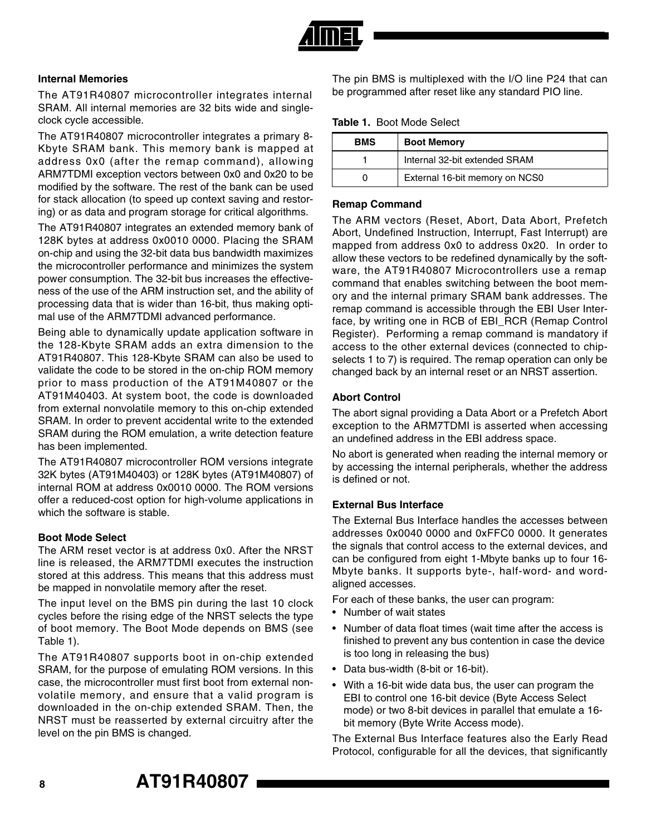

#### **Internal Memories**

The AT91R40807 microcontroller integrates internal SRAM. All internal memories are 32 bits wide and singleclock cycle accessible.

The AT91R40807 microcontroller integrates a primary 8- Kbyte SRAM bank. This memory bank is mapped at address 0x0 (after the remap command), allowing ARM7TDMI exception vectors between 0x0 and 0x20 to be modified by the software. The rest of the bank can be used for stack allocation (to speed up context saving and restoring) or as data and program storage for critical algorithms.

The AT91R40807 integrates an extended memory bank of 128K bytes at address 0x0010 0000. Placing the SRAM on-chip and using the 32-bit data bus bandwidth maximizes the microcontroller performance and minimizes the system power consumption. The 32-bit bus increases the effectiveness of the use of the ARM instruction set, and the ability of processing data that is wider than 16-bit, thus making optimal use of the ARM7TDMI advanced performance.

Being able to dynamically update application software in the 128-Kbyte SRAM adds an extra dimension to the AT91R40807. This 128-Kbyte SRAM can also be used to validate the code to be stored in the on-chip ROM memory prior to mass production of the AT91M40807 or the AT91M40403. At system boot, the code is downloaded from external nonvolatile memory to this on-chip extended SRAM. In order to prevent accidental write to the extended SRAM during the ROM emulation, a write detection feature has been implemented.

The AT91R40807 microcontroller ROM versions integrate 32K bytes (AT91M40403) or 128K bytes (AT91M40807) of internal ROM at address 0x0010 0000. The ROM versions offer a reduced-cost option for high-volume applications in which the software is stable.

#### **Boot Mode Select**

The ARM reset vector is at address 0x0. After the NRST line is released, the ARM7TDMI executes the instruction stored at this address. This means that this address must be mapped in nonvolatile memory after the reset.

The input level on the BMS pin during the last 10 clock cycles before the rising edge of the NRST selects the type of boot memory. The Boot Mode depends on BMS (see Table 1).

The AT91R40807 supports boot in on-chip extended SRAM, for the purpose of emulating ROM versions. In this case, the microcontroller must first boot from external nonvolatile memory, and ensure that a valid program is downloaded in the on-chip extended SRAM. Then, the NRST must be reasserted by external circuitry after the level on the pin BMS is changed.

The pin BMS is multiplexed with the I/O line P24 that can be programmed after reset like any standard PIO line.

**Table 1.** Boot Mode Select

| <b>BMS</b> | <b>Boot Memory</b>             |  |  |  |
|------------|--------------------------------|--|--|--|
|            | Internal 32-bit extended SRAM  |  |  |  |
|            | External 16-bit memory on NCS0 |  |  |  |

#### **Remap Command**

The ARM vectors (Reset, Abort, Data Abort, Prefetch Abort, Undefined Instruction, Interrupt, Fast Interrupt) are mapped from address 0x0 to address 0x20. In order to allow these vectors to be redefined dynamically by the software, the AT91R40807 Microcontrollers use a remap command that enables switching between the boot memory and the internal primary SRAM bank addresses. The remap command is accessible through the EBI User Interface, by writing one in RCB of EBI\_RCR (Remap Control Register). Performing a remap command is mandatory if access to the other external devices (connected to chipselects 1 to 7) is required. The remap operation can only be changed back by an internal reset or an NRST assertion.

#### **Abort Control**

The abort signal providing a Data Abort or a Prefetch Abort exception to the ARM7TDMI is asserted when accessing an undefined address in the EBI address space.

No abort is generated when reading the internal memory or by accessing the internal peripherals, whether the address is defined or not.

#### **External Bus Interface**

The External Bus Interface handles the accesses between addresses 0x0040 0000 and 0xFFC0 0000. It generates the signals that control access to the external devices, and can be configured from eight 1-Mbyte banks up to four 16- Mbyte banks. It supports byte-, half-word- and wordaligned accesses.

For each of these banks, the user can program:

- Number of wait states
- Number of data float times (wait time after the access is finished to prevent any bus contention in case the device is too long in releasing the bus)
- Data bus-width (8-bit or 16-bit).
- With a 16-bit wide data bus, the user can program the EBI to control one 16-bit device (Byte Access Select mode) or two 8-bit devices in parallel that emulate a 16 bit memory (Byte Write Access mode).

The External Bus Interface features also the Early Read Protocol, configurable for all the devices, that significantly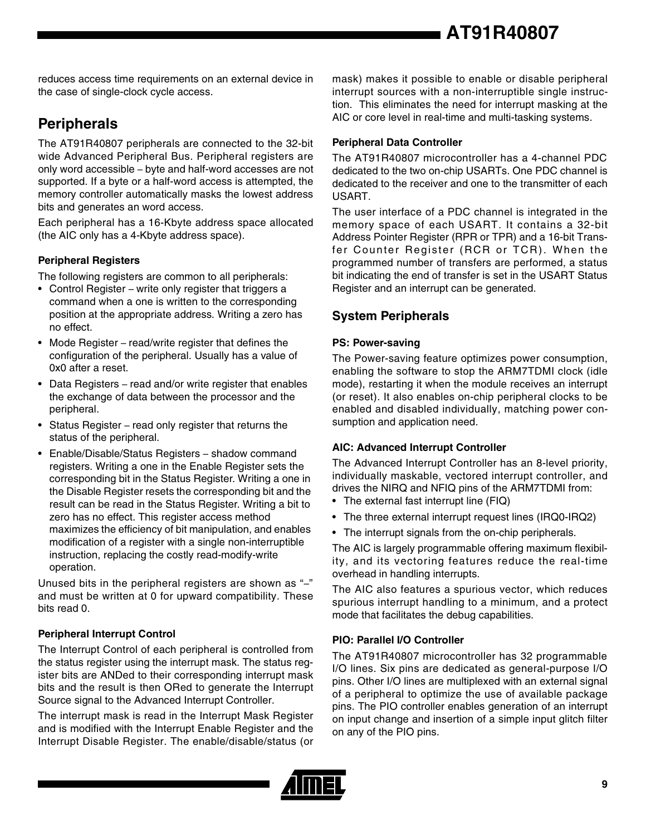**AT91R40807**

reduces access time requirements on an external device in the case of single-clock cycle access.

## **Peripherals**

The AT91R40807 peripherals are connected to the 32-bit wide Advanced Peripheral Bus. Peripheral registers are only word accessible – byte and half-word accesses are not supported. If a byte or a half-word access is attempted, the memory controller automatically masks the lowest address bits and generates an word access.

Each peripheral has a 16-Kbyte address space allocated (the AIC only has a 4-Kbyte address space).

#### **Peripheral Registers**

The following registers are common to all peripherals:

- Control Register write only register that triggers a command when a one is written to the corresponding position at the appropriate address. Writing a zero has no effect.
- Mode Register read/write register that defines the configuration of the peripheral. Usually has a value of 0x0 after a reset.
- Data Registers read and/or write register that enables the exchange of data between the processor and the peripheral.
- Status Register read only register that returns the status of the peripheral.
- Enable/Disable/Status Registers shadow command registers. Writing a one in the Enable Register sets the corresponding bit in the Status Register. Writing a one in the Disable Register resets the corresponding bit and the result can be read in the Status Register. Writing a bit to zero has no effect. This register access method maximizes the efficiency of bit manipulation, and enables modification of a register with a single non-interruptible instruction, replacing the costly read-modify-write operation.

Unused bits in the peripheral registers are shown as "–" and must be written at 0 for upward compatibility. These bits read 0.

#### **Peripheral Interrupt Control**

The Interrupt Control of each peripheral is controlled from the status register using the interrupt mask. The status register bits are ANDed to their corresponding interrupt mask bits and the result is then ORed to generate the Interrupt Source signal to the Advanced Interrupt Controller.

The interrupt mask is read in the Interrupt Mask Register and is modified with the Interrupt Enable Register and the Interrupt Disable Register. The enable/disable/status (or

mask) makes it possible to enable or disable peripheral interrupt sources with a non-interruptible single instruction. This eliminates the need for interrupt masking at the AIC or core level in real-time and multi-tasking systems.

#### **Peripheral Data Controller**

The AT91R40807 microcontroller has a 4-channel PDC dedicated to the two on-chip USARTs. One PDC channel is dedicated to the receiver and one to the transmitter of each USART.

The user interface of a PDC channel is integrated in the memory space of each USART. It contains a 32-bit Address Pointer Register (RPR or TPR) and a 16-bit Transfer Counter Register (RCR or TCR). When the programmed number of transfers are performed, a status bit indicating the end of transfer is set in the USART Status Register and an interrupt can be generated.

### **System Peripherals**

#### **PS: Power-saving**

The Power-saving feature optimizes power consumption, enabling the software to stop the ARM7TDMI clock (idle mode), restarting it when the module receives an interrupt (or reset). It also enables on-chip peripheral clocks to be enabled and disabled individually, matching power consumption and application need.

#### **AIC: Advanced Interrupt Controller**

The Advanced Interrupt Controller has an 8-level priority, individually maskable, vectored interrupt controller, and drives the NIRQ and NFIQ pins of the ARM7TDMI from:

- The external fast interrupt line (FIQ)
- The three external interrupt request lines (IRQ0-IRQ2)
- The interrupt signals from the on-chip peripherals.

The AIC is largely programmable offering maximum flexibility, and its vectoring features reduce the real-time overhead in handling interrupts.

The AIC also features a spurious vector, which reduces spurious interrupt handling to a minimum, and a protect mode that facilitates the debug capabilities.

#### **PIO: Parallel I/O Controller**

The AT91R40807 microcontroller has 32 programmable I/O lines. Six pins are dedicated as general-purpose I/O pins. Other I/O lines are multiplexed with an external signal of a peripheral to optimize the use of available package pins. The PIO controller enables generation of an interrupt on input change and insertion of a simple input glitch filter on any of the PIO pins.

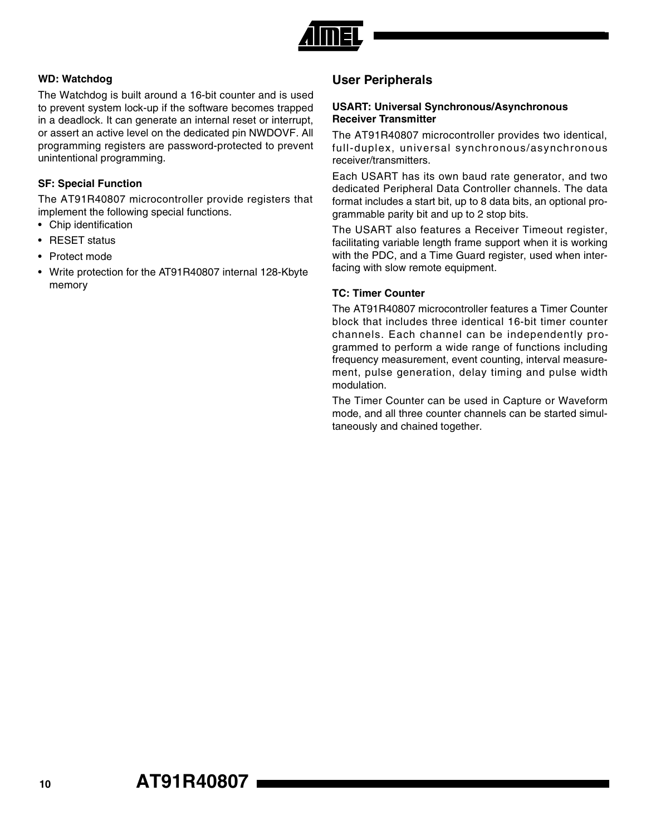

#### **WD: Watchdog**

The Watchdog is built around a 16-bit counter and is used to prevent system lock-up if the software becomes trapped in a deadlock. It can generate an internal reset or interrupt, or assert an active level on the dedicated pin NWDOVF. All programming registers are password-protected to prevent unintentional programming.

#### **SF: Special Function**

The AT91R40807 microcontroller provide registers that implement the following special functions.

- Chip identification
- RESET status
- Protect mode
- Write protection for the AT91R40807 internal 128-Kbyte memory

#### **User Peripherals**

#### **USART: Universal Synchronous/Asynchronous Receiver Transmitter**

The AT91R40807 microcontroller provides two identical, full-duplex, universal synchronous/asynchronous receiver/transmitters.

Each USART has its own baud rate generator, and two dedicated Peripheral Data Controller channels. The data format includes a start bit, up to 8 data bits, an optional programmable parity bit and up to 2 stop bits.

The USART also features a Receiver Timeout register, facilitating variable length frame support when it is working with the PDC, and a Time Guard register, used when interfacing with slow remote equipment.

#### **TC: Timer Counter**

The AT91R40807 microcontroller features a Timer Counter block that includes three identical 16-bit timer counter channels. Each channel can be independently programmed to perform a wide range of functions including frequency measurement, event counting, interval measurement, pulse generation, delay timing and pulse width modulation.

The Timer Counter can be used in Capture or Waveform mode, and all three counter channels can be started simultaneously and chained together.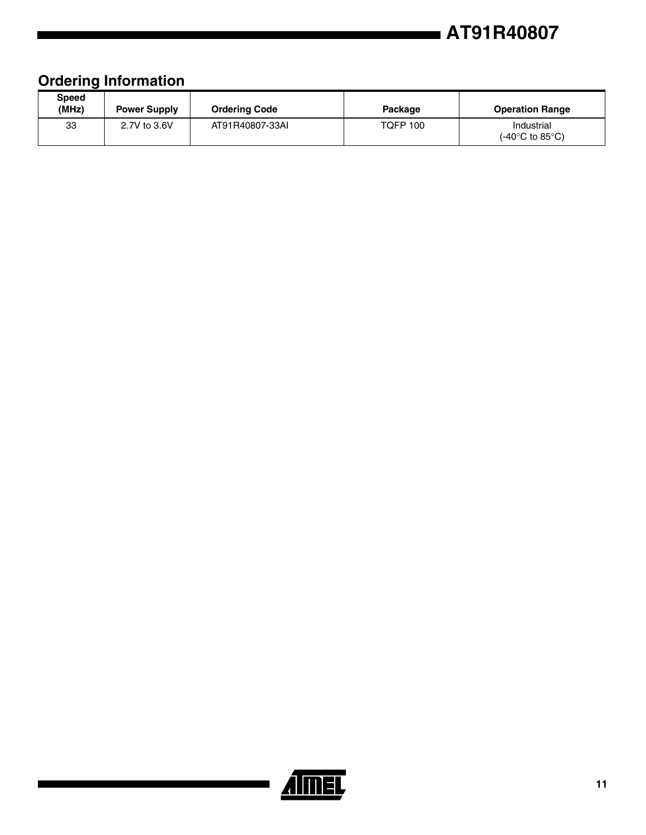## **AT91R40807**

## **Ordering Information**

| Speed<br>(MHz) | <b>Power Supply</b> | <b>Ordering Code</b> | Package         | <b>Operation Range</b>                              |  |  |
|----------------|---------------------|----------------------|-----------------|-----------------------------------------------------|--|--|
| 33             | 2.7V to 3.6V        | AT91R40807-33AI      | <b>TOFP 100</b> | Industrial<br>(-40 $^{\circ}$ C to 85 $^{\circ}$ C) |  |  |

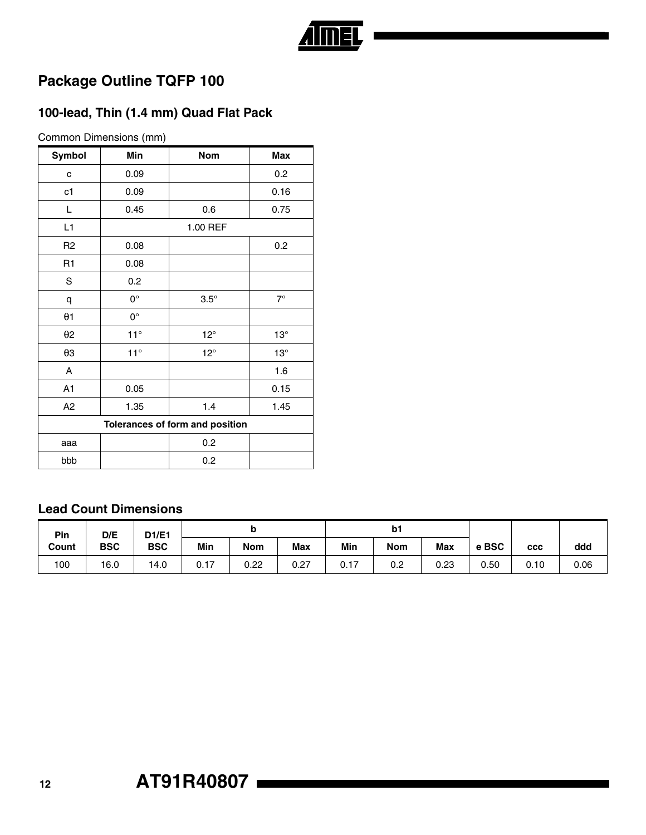# <u>Aimel</u>

## **Package Outline TQFP 100**

## **100-lead, Thin (1.4 mm) Quad Flat Pack**

Common Dimensions (mm)

| Symbol                          | Min          | <b>Nom</b>   | Max        |  |  |  |
|---------------------------------|--------------|--------------|------------|--|--|--|
| C                               | 0.09         |              | 0.2        |  |  |  |
| c1                              | 0.09         |              | 0.16       |  |  |  |
| L                               | 0.45         | 0.6          | 0.75       |  |  |  |
| L1                              |              | 1.00 REF     |            |  |  |  |
| R <sub>2</sub>                  | 0.08         |              | 0.2        |  |  |  |
| R1                              | 0.08         |              |            |  |  |  |
| S                               | 0.2          |              |            |  |  |  |
| q                               | $0^{\circ}$  | $3.5^\circ$  | $7^\circ$  |  |  |  |
| $\theta$ 1                      | $0^{\circ}$  |              |            |  |  |  |
| $\theta$ 2                      | $11^\circ$   | $12^{\circ}$ | $13^\circ$ |  |  |  |
| $\theta$ 3                      | $11^{\circ}$ | $12^{\circ}$ | $13^\circ$ |  |  |  |
| A                               |              |              | 1.6        |  |  |  |
| A1                              | 0.05         |              | 0.15       |  |  |  |
| A <sub>2</sub>                  | 1.35         | 1.4          | 1.45       |  |  |  |
| Tolerances of form and position |              |              |            |  |  |  |
| aaa                             |              | 0.2          |            |  |  |  |
| bbb                             |              | 0.2          |            |  |  |  |

#### **Lead Count Dimensions**

| D/E<br>D1/E1<br>Pin |            |            |      | M          |      | b1   |            |            |       |            |      |
|---------------------|------------|------------|------|------------|------|------|------------|------------|-------|------------|------|
| Count               | <b>BSC</b> | <b>BSC</b> | Min  | <b>Nom</b> | Max  | Min  | <b>Nom</b> | <b>Max</b> | e BSC | <b>CCC</b> | ddd  |
| 100                 | 16.0       | 14.0       | 0.17 | 0.22       | 0.27 | 0.17 | 0.2        | 0.23       | 0.50  | 0.10       | 0.06 |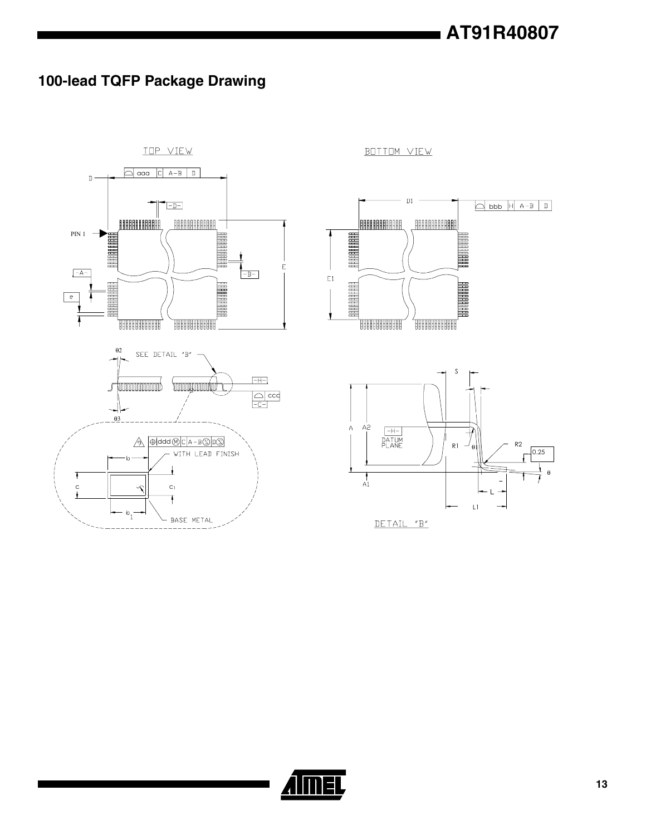## **100-lead TQFP Package Drawing**